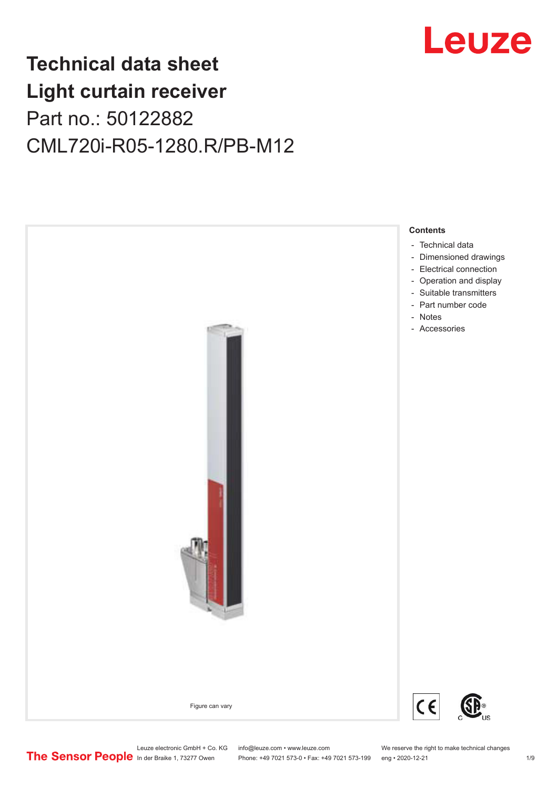

# **Technical data sheet Light curtain receiver** Part no.: 50122882 CML720i-R05-1280.R/PB-M12



Leuze electronic GmbH + Co. KG info@leuze.com • www.leuze.com We reserve the right to make technical changes<br>
The Sensor People in der Braike 1, 73277 Owen Phone: +49 7021 573-0 • Fax: +49 7021 573-199 eng • 2020-12-21 Phone: +49 7021 573-0 • Fax: +49 7021 573-199 eng • 2020-12-21 1 2020-12-21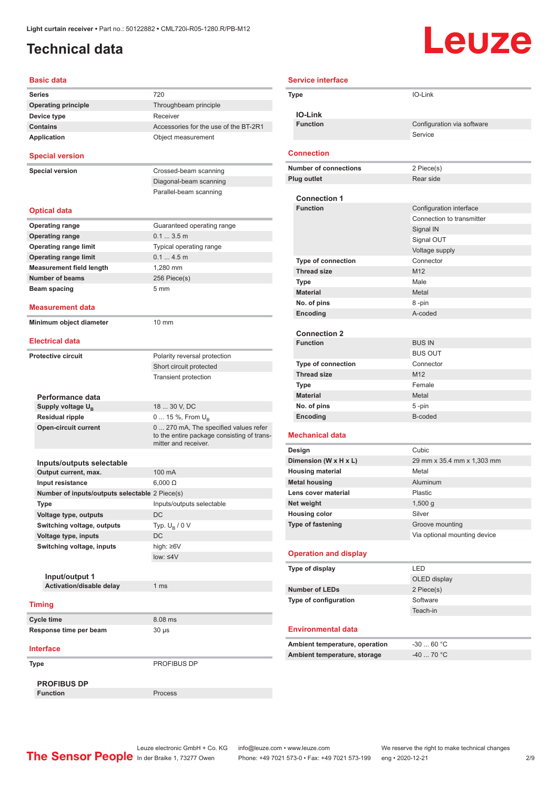## <span id="page-1-0"></span>**Technical data**

# **Leuze**

| <b>Basic data</b>                              |                                                                                                             |
|------------------------------------------------|-------------------------------------------------------------------------------------------------------------|
| <b>Series</b>                                  | 720                                                                                                         |
| <b>Operating principle</b>                     | Throughbeam principle                                                                                       |
| Device type                                    | Receiver                                                                                                    |
| <b>Contains</b>                                | Accessories for the use of the BT-2R1                                                                       |
| <b>Application</b>                             | Object measurement                                                                                          |
| <b>Special version</b>                         |                                                                                                             |
| <b>Special version</b>                         | Crossed-beam scanning                                                                                       |
|                                                | Diagonal-beam scanning                                                                                      |
|                                                | Parallel-beam scanning                                                                                      |
| <b>Optical data</b>                            |                                                                                                             |
| <b>Operating range</b>                         | Guaranteed operating range                                                                                  |
| <b>Operating range</b>                         | 0.13.5m                                                                                                     |
| <b>Operating range limit</b>                   | Typical operating range                                                                                     |
| <b>Operating range limit</b>                   | 0.14.5m                                                                                                     |
| <b>Measurement field length</b>                | 1,280 mm                                                                                                    |
| <b>Number of beams</b>                         | 256 Piece(s)                                                                                                |
| Beam spacing                                   | 5 <sub>mm</sub>                                                                                             |
| <b>Measurement data</b>                        |                                                                                                             |
| Minimum object diameter                        | 10 mm                                                                                                       |
| <b>Electrical data</b>                         |                                                                                                             |
| <b>Protective circuit</b>                      | Polarity reversal protection                                                                                |
|                                                | Short circuit protected                                                                                     |
|                                                | <b>Transient protection</b>                                                                                 |
|                                                |                                                                                                             |
| Performance data                               |                                                                                                             |
| Supply voltage $U_{\rm B}$                     | 18  30 V, DC                                                                                                |
| <b>Residual ripple</b>                         | 0  15 %, From $U_{\rm B}$                                                                                   |
| <b>Open-circuit current</b>                    | 0  270 mA, The specified values refer<br>to the entire package consisting of trans-<br>mitter and receiver. |
|                                                |                                                                                                             |
| Inputs/outputs selectable                      |                                                                                                             |
| Output current, max.                           | 100 mA                                                                                                      |
| Input resistance                               | $6,000 \Omega$                                                                                              |
| Number of inputs/outputs selectable 2 Piece(s) |                                                                                                             |
| Type                                           | Inputs/outputs selectable                                                                                   |
| Voltage type, outputs                          | DC                                                                                                          |
| Switching voltage, outputs                     | Typ. $U_R / 0 V$                                                                                            |
| Voltage type, inputs                           | DC                                                                                                          |
| Switching voltage, inputs                      | high: ≥6V                                                                                                   |
|                                                | low: $\leq 4V$                                                                                              |
|                                                |                                                                                                             |
| Input/output 1                                 |                                                                                                             |
| Activation/disable delay                       | 1 ms                                                                                                        |
| <b>Timing</b>                                  |                                                                                                             |
| <b>Cycle time</b>                              | 8.08 ms                                                                                                     |
| Response time per beam                         | $30 \mu s$                                                                                                  |
| <b>Interface</b>                               |                                                                                                             |
|                                                |                                                                                                             |
| Type                                           | PROFIBUS DP                                                                                                 |
| <b>PROFIBUS DP</b>                             |                                                                                                             |
| <b>Function</b>                                | Process                                                                                                     |

|        | <b>Service interface</b>       |                              |  |
|--------|--------------------------------|------------------------------|--|
|        | Type                           | IO-Link                      |  |
|        | <b>IO-Link</b>                 |                              |  |
|        | <b>Function</b>                | Configuration via software   |  |
|        |                                | Service                      |  |
|        | <b>Connection</b>              |                              |  |
|        | <b>Number of connections</b>   | 2 Piece(s)                   |  |
|        | <b>Plug outlet</b>             | Rear side                    |  |
|        | <b>Connection 1</b>            |                              |  |
|        | <b>Function</b>                | Configuration interface      |  |
|        |                                | Connection to transmitter    |  |
|        |                                | Signal IN                    |  |
|        |                                | Signal OUT                   |  |
|        |                                | Voltage supply               |  |
|        | <b>Type of connection</b>      | Connector                    |  |
|        | <b>Thread size</b>             | M12                          |  |
|        | Type                           | Male                         |  |
|        | <b>Material</b>                | Metal                        |  |
|        | No. of pins                    | 8-pin                        |  |
|        | <b>Encoding</b>                | A-coded                      |  |
|        |                                |                              |  |
|        | <b>Connection 2</b>            |                              |  |
|        | <b>Function</b>                | <b>BUS IN</b>                |  |
|        |                                | <b>BUS OUT</b>               |  |
|        | <b>Type of connection</b>      | Connector                    |  |
|        | <b>Thread size</b>             | M12                          |  |
|        | Type                           | Female                       |  |
|        | <b>Material</b>                | Metal                        |  |
|        | No. of pins                    | 5-pin                        |  |
|        | Encoding                       | B-coded                      |  |
|        | <b>Mechanical data</b>         |                              |  |
| Design |                                | Cubic                        |  |
|        | Dimension (W x H x L)          | 29 mm x 35.4 mm x 1,303 mm   |  |
|        | <b>Housing material</b>        | Metal                        |  |
|        | <b>Metal housing</b>           | Aluminum                     |  |
|        | Lens cover material            | <b>Plastic</b>               |  |
|        | Net weight                     | 1,500 g                      |  |
|        | <b>Housing color</b>           | Silver                       |  |
|        | Type of fastening              | Groove mounting              |  |
|        |                                | Via optional mounting device |  |
|        | <b>Operation and display</b>   |                              |  |
|        | Type of display                | LED                          |  |
|        |                                | OLED display                 |  |
|        | <b>Number of LEDs</b>          | 2 Piece(s)                   |  |
|        | Type of configuration          | Software                     |  |
|        |                                | Teach-in                     |  |
|        |                                |                              |  |
|        | <b>Environmental data</b>      |                              |  |
|        | Ambient temperature, operation | $-3060 °C$                   |  |
|        | Ambient temperature, storage   | $-40$ 70 °C                  |  |
|        |                                |                              |  |

Leuze electronic GmbH + Co. KG info@leuze.com • www.leuze.com We reserve the right to make technical changes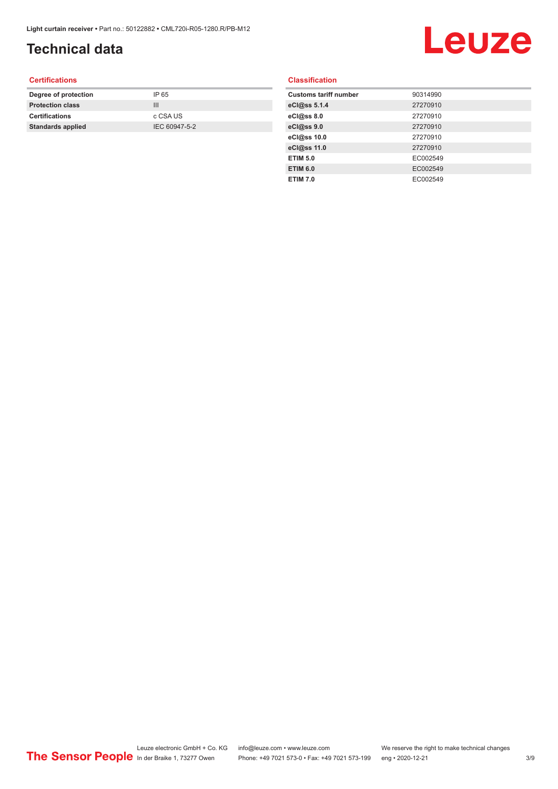# **Technical data**

# Leuze

### **Certifications**

| Degree of protection     | IP 65         |
|--------------------------|---------------|
| <b>Protection class</b>  | Ш             |
| <b>Certifications</b>    | c CSA US      |
| <b>Standards applied</b> | IEC 60947-5-2 |
|                          |               |

### **Classification**

| <b>Customs tariff number</b> | 90314990 |
|------------------------------|----------|
| eCl@ss 5.1.4                 | 27270910 |
| eCl@ss 8.0                   | 27270910 |
| eCl@ss 9.0                   | 27270910 |
| eCl@ss 10.0                  | 27270910 |
| eCl@ss 11.0                  | 27270910 |
| <b>ETIM 5.0</b>              | EC002549 |
| <b>ETIM 6.0</b>              | EC002549 |
| <b>ETIM 7.0</b>              | EC002549 |
|                              |          |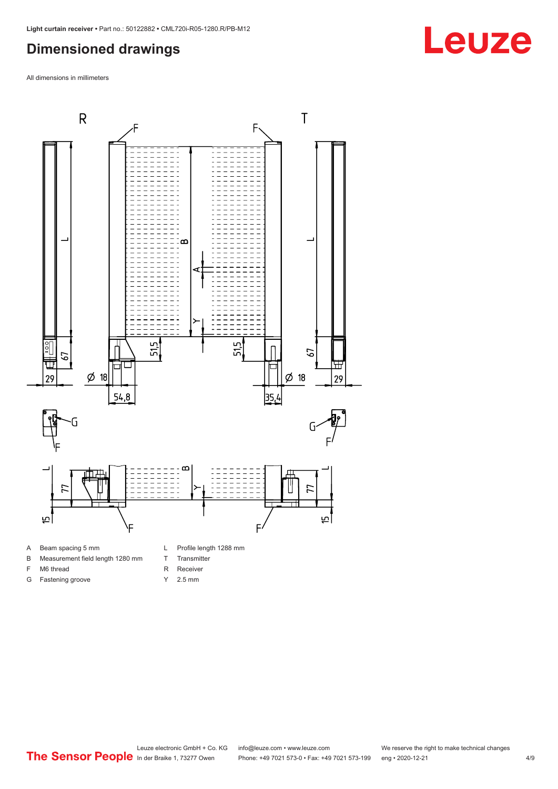### <span id="page-3-0"></span>**Dimensioned drawings**

All dimensions in millimeters



A Beam spacing 5 mm

G Fastening groove

- B Measurement field length 1280 mm
- F M6 thread
- R Receiver
	- Y 2.5 mm

T Transmitter

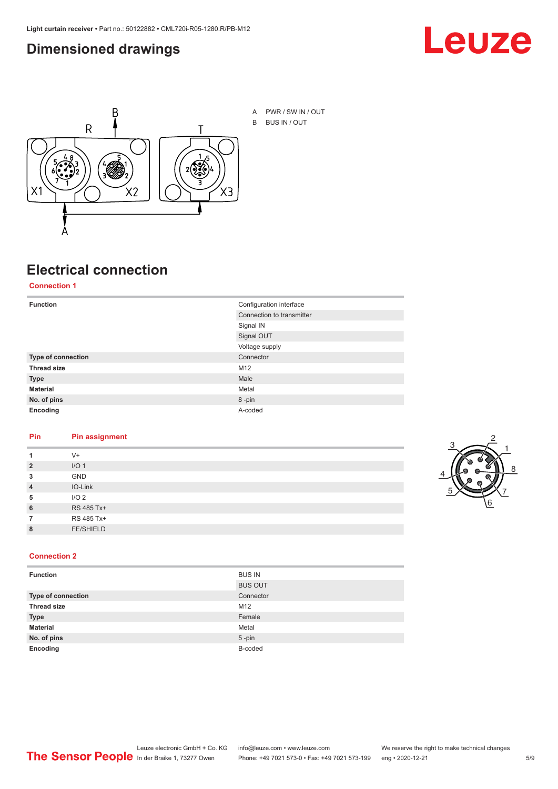### <span id="page-4-0"></span>**Dimensioned drawings**





A PWR / SW IN / OUT B BUS IN / OUT

# **Electrical connection**

### **Connection 1**

| <b>Function</b>    | Configuration interface   |
|--------------------|---------------------------|
|                    | Connection to transmitter |
|                    | Signal IN                 |
|                    | Signal OUT                |
|                    | Voltage supply            |
| Type of connection | Connector                 |
| <b>Thread size</b> | M12                       |
| <b>Type</b>        | Male                      |
| <b>Material</b>    | Metal                     |
| No. of pins        | 8-pin                     |
| Encoding           | A-coded                   |

### **Pin Pin assignment**

|                | $V +$            |  |  |
|----------------|------------------|--|--|
| $\overline{2}$ | I/O <sub>1</sub> |  |  |
| 3              | <b>GND</b>       |  |  |
| $\overline{4}$ | IO-Link          |  |  |
| 5              | I/O <sub>2</sub> |  |  |
| 6              | RS 485 Tx+       |  |  |
|                | RS 485 Tx+       |  |  |
| 8              | <b>FE/SHIELD</b> |  |  |
|                |                  |  |  |



### **Connection 2**

| <b>Function</b>    | <b>BUS IN</b>  |
|--------------------|----------------|
|                    | <b>BUS OUT</b> |
| Type of connection | Connector      |
| <b>Thread size</b> | M12            |
| <b>Type</b>        | Female         |
| <b>Material</b>    | Metal          |
| No. of pins        | $5$ -pin       |
| Encoding           | B-coded        |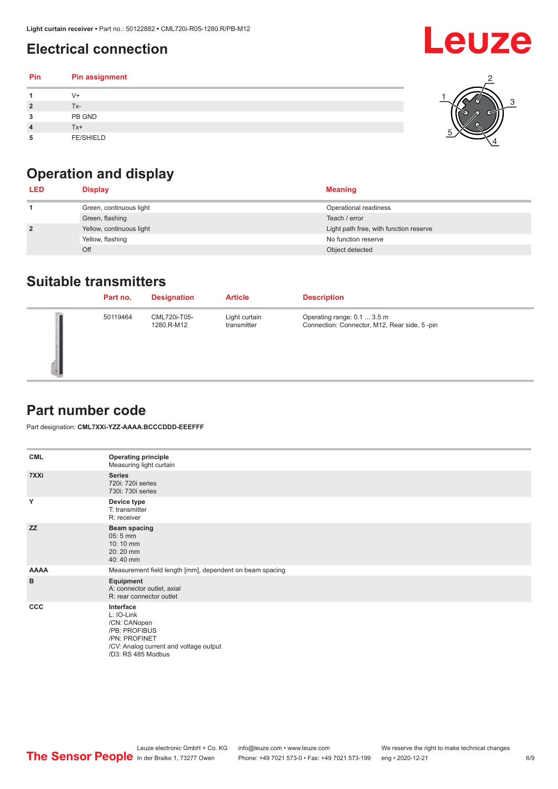# <span id="page-5-0"></span>**Electrical connection**

| Pin | Pin assignment   |  |
|-----|------------------|--|
|     | V+               |  |
|     | Tx-              |  |
| 3   | PB GND           |  |
|     | $Tx+$            |  |
| 5   | <b>FE/SHIELD</b> |  |

## **Operation and display**

| <b>LED</b>     | <b>Display</b>           | <b>Meaning</b>                         |
|----------------|--------------------------|----------------------------------------|
|                | Green, continuous light  | Operational readiness                  |
|                | Green, flashing          | Teach / error                          |
| $\overline{2}$ | Yellow, continuous light | Light path free, with function reserve |
|                | Yellow, flashing         | No function reserve                    |
|                | Off                      | Object detected                        |

### **Suitable transmitters**

| Part no. | <b>Designation</b>         | <b>Article</b>               | <b>Description</b>                                                          |
|----------|----------------------------|------------------------------|-----------------------------------------------------------------------------|
| 50119464 | CML720i-T05-<br>1280.R-M12 | Light curtain<br>transmitter | Operating range: 0.1  3.5 m<br>Connection: Connector, M12, Rear side, 5-pin |

### **Part number code**

Part designation: **CML7XXi-YZZ-AAAA.BCCCDDD-EEEFFF**

| <b>CML</b>  | <b>Operating principle</b><br>Measuring light curtain                                                                                     |
|-------------|-------------------------------------------------------------------------------------------------------------------------------------------|
| 7XXi        | <b>Series</b><br>720i: 720i series<br>730i: 730i series                                                                                   |
| Y           | Device type<br>T: transmitter<br>R: receiver                                                                                              |
| <b>ZZ</b>   | <b>Beam spacing</b><br>$05:5$ mm<br>10:10 mm<br>20:20 mm<br>40:40 mm                                                                      |
| <b>AAAA</b> | Measurement field length [mm], dependent on beam spacing                                                                                  |
| B           | Equipment<br>A: connector outlet, axial<br>R: rear connector outlet                                                                       |
| CCC         | Interface<br>L: IO-Link<br>/CN: CANopen<br>/PB: PROFIBUS<br>/PN: PROFINET<br>/CV: Analog current and voltage output<br>/D3: RS 485 Modbus |

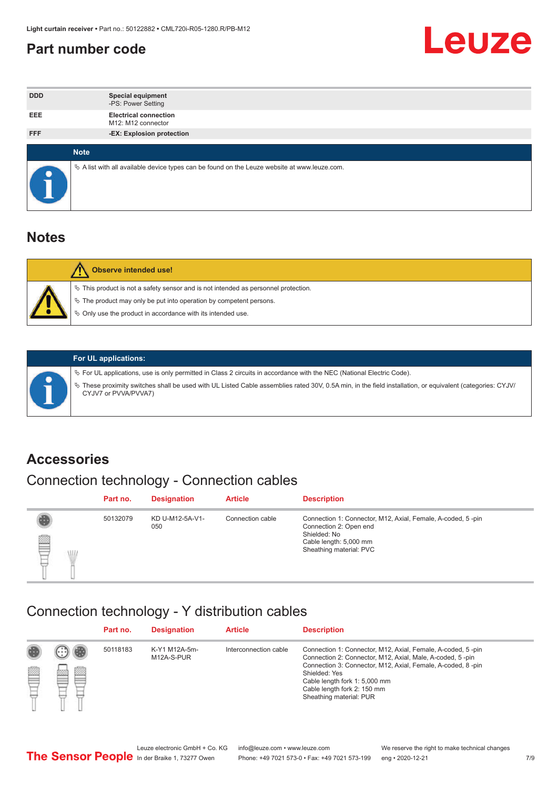### <span id="page-6-0"></span>**Part number code**



| <b>DDD</b> | <b>Special equipment</b><br>-PS: Power Setting                                                  |
|------------|-------------------------------------------------------------------------------------------------|
| <b>EEE</b> | <b>Electrical connection</b><br>M12: M12 connector                                              |
| <b>FFF</b> | -EX: Explosion protection                                                                       |
|            | <b>Note</b>                                                                                     |
|            |                                                                                                 |
|            | $\&$ A list with all available device types can be found on the Leuze website at www.leuze.com. |

### **Notes**

| Observe intended use!                                                                                                                                                                                                            |
|----------------------------------------------------------------------------------------------------------------------------------------------------------------------------------------------------------------------------------|
| $\%$ This product is not a safety sensor and is not intended as personnel protection.<br>$\%$ The product may only be put into operation by competent persons.<br>$\%$ Only use the product in accordance with its intended use. |
|                                                                                                                                                                                                                                  |



### **For UL applications:**

ª For UL applications, use is only permitted in Class 2 circuits in accordance with the NEC (National Electric Code). ª These proximity switches shall be used with UL Listed Cable assemblies rated 30V, 0.5A min, in the field installation, or equivalent (categories: CYJV/ CYJV7 or PVVA/PVVA7)

### **Accessories**

## Connection technology - Connection cables

|        | Part no. | <b>Designation</b>     | <b>Article</b>   | <b>Description</b>                                                                                                                                         |
|--------|----------|------------------------|------------------|------------------------------------------------------------------------------------------------------------------------------------------------------------|
| 2<br>W | 50132079 | KD U-M12-5A-V1-<br>050 | Connection cable | Connection 1: Connector, M12, Axial, Female, A-coded, 5-pin<br>Connection 2: Open end<br>Shielded: No<br>Cable length: 5,000 mm<br>Sheathing material: PVC |

### Connection technology - Y distribution cables

|             |   | Part no. | <b>Designation</b>          | <b>Article</b>        | <b>Description</b>                                                                                                                                                                                                                                                                                  |
|-------------|---|----------|-----------------------------|-----------------------|-----------------------------------------------------------------------------------------------------------------------------------------------------------------------------------------------------------------------------------------------------------------------------------------------------|
| 圔<br>⋿<br>٣ | ø | 50118183 | K-Y1 M12A-5m-<br>M12A-S-PUR | Interconnection cable | Connection 1: Connector, M12, Axial, Female, A-coded, 5-pin<br>Connection 2: Connector, M12, Axial, Male, A-coded, 5-pin<br>Connection 3: Connector, M12, Axial, Female, A-coded, 8-pin<br>Shielded: Yes<br>Cable length fork 1: 5,000 mm<br>Cable length fork 2: 150 mm<br>Sheathing material: PUR |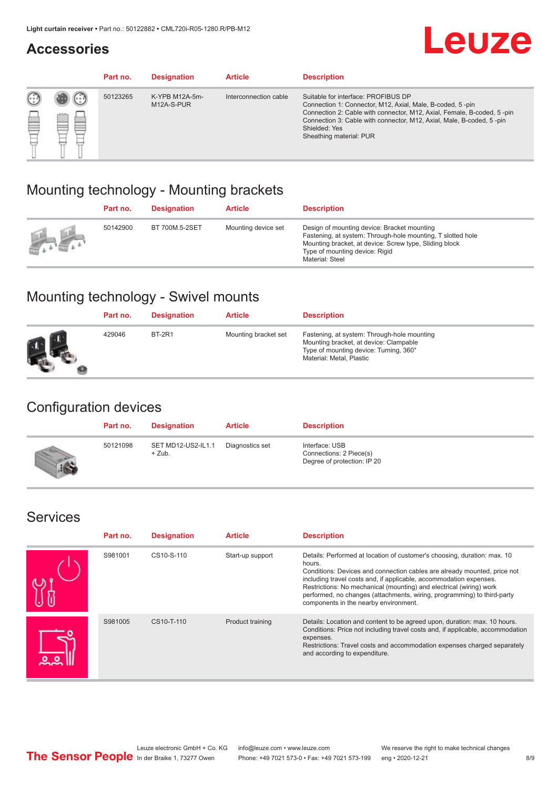### **Accessories**

# **Leuze**

|     |         | Part no. | <b>Designation</b>           | <b>Article</b>        | <b>Description</b>                                                                                                                                                                                                                                                                             |
|-----|---------|----------|------------------------------|-----------------------|------------------------------------------------------------------------------------------------------------------------------------------------------------------------------------------------------------------------------------------------------------------------------------------------|
| 622 | ×<br>65 | 50123265 | K-YPB M12A-5m-<br>M12A-S-PUR | Interconnection cable | Suitable for interface: PROFIBUS DP<br>Connection 1: Connector, M12, Axial, Male, B-coded, 5-pin<br>Connection 2: Cable with connector, M12, Axial, Female, B-coded, 5-pin<br>Connection 3: Cable with connector, M12, Axial, Male, B-coded, 5-pin<br>Shielded: Yes<br>Sheathing material: PUR |

### Mounting technology - Mounting brackets

|               | Part no. | <b>Designation</b> | <b>Article</b>      | <b>Description</b>                                                                                                                                                                                                        |
|---------------|----------|--------------------|---------------------|---------------------------------------------------------------------------------------------------------------------------------------------------------------------------------------------------------------------------|
| $\frac{1}{2}$ | 50142900 | BT 700M.5-2SET     | Mounting device set | Design of mounting device: Bracket mounting<br>Fastening, at system: Through-hole mounting, T slotted hole<br>Mounting bracket, at device: Screw type, Sliding block<br>Type of mounting device: Rigid<br>Material: Steel |

## Mounting technology - Swivel mounts

| Part no. | <b>Designation</b> | <b>Article</b>       | <b>Description</b>                                                                                                                                          |
|----------|--------------------|----------------------|-------------------------------------------------------------------------------------------------------------------------------------------------------------|
| 429046   | <b>BT-2R1</b>      | Mounting bracket set | Fastening, at system: Through-hole mounting<br>Mounting bracket, at device: Clampable<br>Type of mounting device: Turning, 360°<br>Material: Metal, Plastic |

### Configuration devices

| Part no. | <b>Designation</b>             | <b>Article</b>  | <b>Description</b>                                                       |
|----------|--------------------------------|-----------------|--------------------------------------------------------------------------|
| 50121098 | SET MD12-US2-IL1.1<br>$+$ Zub. | Diagnostics set | Interface: USB<br>Connections: 2 Piece(s)<br>Degree of protection: IP 20 |

### Services

| Part no. | <b>Designation</b> | <b>Article</b>   | <b>Description</b>                                                                                                                                                                                                                                                                                                                                                                                                              |
|----------|--------------------|------------------|---------------------------------------------------------------------------------------------------------------------------------------------------------------------------------------------------------------------------------------------------------------------------------------------------------------------------------------------------------------------------------------------------------------------------------|
| S981001  | CS10-S-110         | Start-up support | Details: Performed at location of customer's choosing, duration: max. 10<br>hours.<br>Conditions: Devices and connection cables are already mounted, price not<br>including travel costs and, if applicable, accommodation expenses.<br>Restrictions: No mechanical (mounting) and electrical (wiring) work<br>performed, no changes (attachments, wiring, programming) to third-party<br>components in the nearby environment. |
| S981005  | CS10-T-110         | Product training | Details: Location and content to be agreed upon, duration: max. 10 hours.<br>Conditions: Price not including travel costs and, if applicable, accommodation<br>expenses.<br>Restrictions: Travel costs and accommodation expenses charged separately<br>and according to expenditure.                                                                                                                                           |